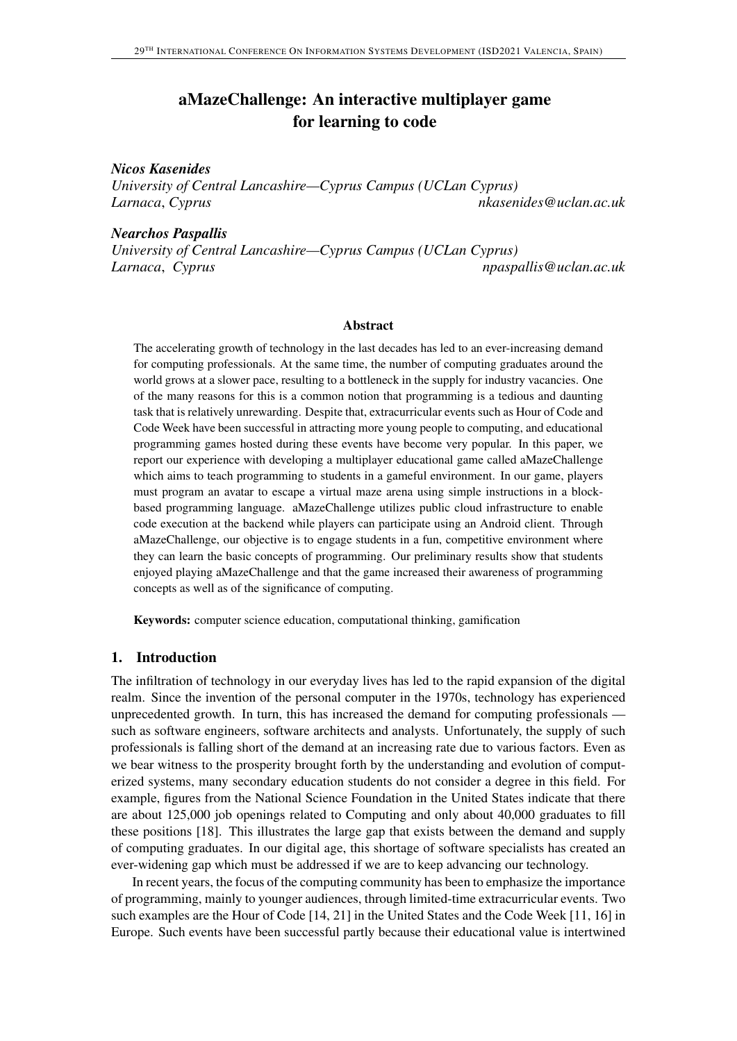# aMazeChallenge: An interactive multiplayer game for learning to code

## *Nicos Kasenides*

*University of Central Lancashire—Cyprus Campus (UCLan Cyprus) Larnaca*, *Cyprus nkasenides@uclan.ac.uk*

#### *Nearchos Paspallis*

*University of Central Lancashire—Cyprus Campus (UCLan Cyprus) Larnaca*, *Cyprus npaspallis@uclan.ac.uk*

#### Abstract

The accelerating growth of technology in the last decades has led to an ever-increasing demand for computing professionals. At the same time, the number of computing graduates around the world grows at a slower pace, resulting to a bottleneck in the supply for industry vacancies. One of the many reasons for this is a common notion that programming is a tedious and daunting task that is relatively unrewarding. Despite that, extracurricular events such as Hour of Code and Code Week have been successful in attracting more young people to computing, and educational programming games hosted during these events have become very popular. In this paper, we report our experience with developing a multiplayer educational game called aMazeChallenge which aims to teach programming to students in a gameful environment. In our game, players must program an avatar to escape a virtual maze arena using simple instructions in a blockbased programming language. aMazeChallenge utilizes public cloud infrastructure to enable code execution at the backend while players can participate using an Android client. Through aMazeChallenge, our objective is to engage students in a fun, competitive environment where they can learn the basic concepts of programming. Our preliminary results show that students enjoyed playing aMazeChallenge and that the game increased their awareness of programming concepts as well as of the significance of computing.

Keywords: computer science education, computational thinking, gamification

### 1. Introduction

The infiltration of technology in our everyday lives has led to the rapid expansion of the digital realm. Since the invention of the personal computer in the 1970s, technology has experienced unprecedented growth. In turn, this has increased the demand for computing professionals such as software engineers, software architects and analysts. Unfortunately, the supply of such professionals is falling short of the demand at an increasing rate due to various factors. Even as we bear witness to the prosperity brought forth by the understanding and evolution of computerized systems, many secondary education students do not consider a degree in this field. For example, figures from the National Science Foundation in the United States indicate that there are about 125,000 job openings related to Computing and only about 40,000 graduates to fill these positions [18]. This illustrates the large gap that exists between the demand and supply of computing graduates. In our digital age, this shortage of software specialists has created an ever-widening gap which must be addressed if we are to keep advancing our technology.

In recent years, the focus of the computing community has been to emphasize the importance of programming, mainly to younger audiences, through limited-time extracurricular events. Two such examples are the Hour of Code [14, 21] in the United States and the Code Week [11, 16] in Europe. Such events have been successful partly because their educational value is intertwined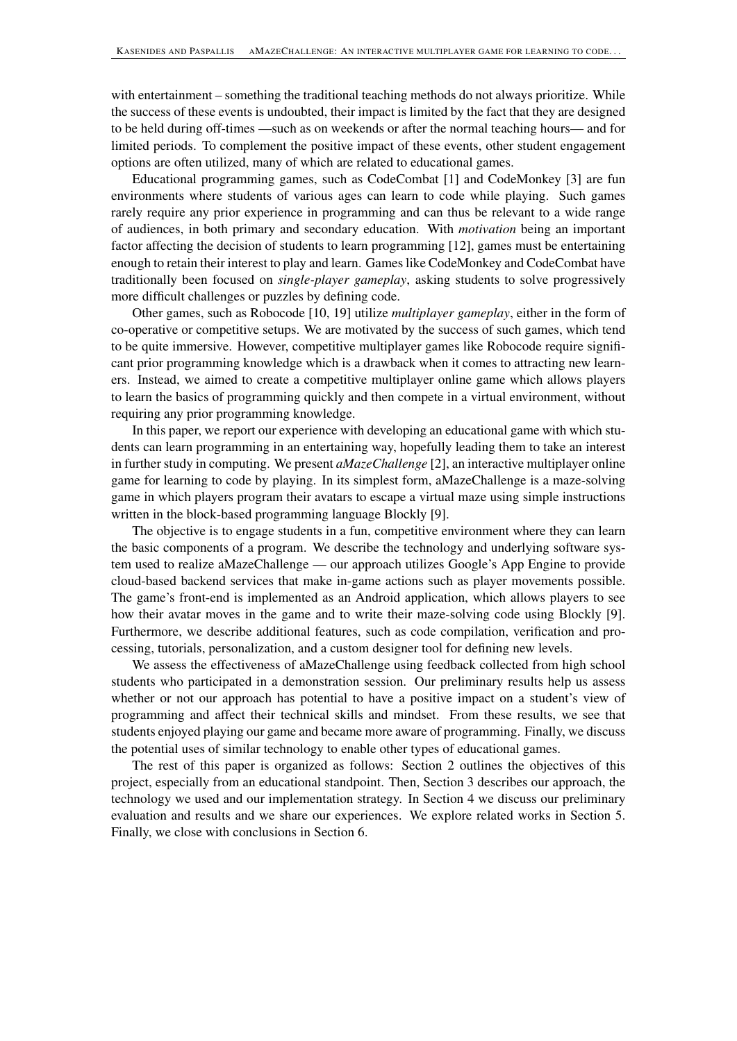with entertainment – something the traditional teaching methods do not always prioritize. While the success of these events is undoubted, their impact is limited by the fact that they are designed to be held during off-times —such as on weekends or after the normal teaching hours— and for limited periods. To complement the positive impact of these events, other student engagement options are often utilized, many of which are related to educational games.

Educational programming games, such as CodeCombat [1] and CodeMonkey [3] are fun environments where students of various ages can learn to code while playing. Such games rarely require any prior experience in programming and can thus be relevant to a wide range of audiences, in both primary and secondary education. With *motivation* being an important factor affecting the decision of students to learn programming [12], games must be entertaining enough to retain their interest to play and learn. Games like CodeMonkey and CodeCombat have traditionally been focused on *single-player gameplay*, asking students to solve progressively more difficult challenges or puzzles by defining code.

Other games, such as Robocode [10, 19] utilize *multiplayer gameplay*, either in the form of co-operative or competitive setups. We are motivated by the success of such games, which tend to be quite immersive. However, competitive multiplayer games like Robocode require significant prior programming knowledge which is a drawback when it comes to attracting new learners. Instead, we aimed to create a competitive multiplayer online game which allows players to learn the basics of programming quickly and then compete in a virtual environment, without requiring any prior programming knowledge.

In this paper, we report our experience with developing an educational game with which students can learn programming in an entertaining way, hopefully leading them to take an interest in further study in computing. We present *aMazeChallenge* [2], an interactive multiplayer online game for learning to code by playing. In its simplest form, aMazeChallenge is a maze-solving game in which players program their avatars to escape a virtual maze using simple instructions written in the block-based programming language Blockly [9].

The objective is to engage students in a fun, competitive environment where they can learn the basic components of a program. We describe the technology and underlying software system used to realize aMazeChallenge — our approach utilizes Google's App Engine to provide cloud-based backend services that make in-game actions such as player movements possible. The game's front-end is implemented as an Android application, which allows players to see how their avatar moves in the game and to write their maze-solving code using Blockly [9]. Furthermore, we describe additional features, such as code compilation, verification and processing, tutorials, personalization, and a custom designer tool for defining new levels.

We assess the effectiveness of aMazeChallenge using feedback collected from high school students who participated in a demonstration session. Our preliminary results help us assess whether or not our approach has potential to have a positive impact on a student's view of programming and affect their technical skills and mindset. From these results, we see that students enjoyed playing our game and became more aware of programming. Finally, we discuss the potential uses of similar technology to enable other types of educational games.

The rest of this paper is organized as follows: Section 2 outlines the objectives of this project, especially from an educational standpoint. Then, Section 3 describes our approach, the technology we used and our implementation strategy. In Section 4 we discuss our preliminary evaluation and results and we share our experiences. We explore related works in Section 5. Finally, we close with conclusions in Section 6.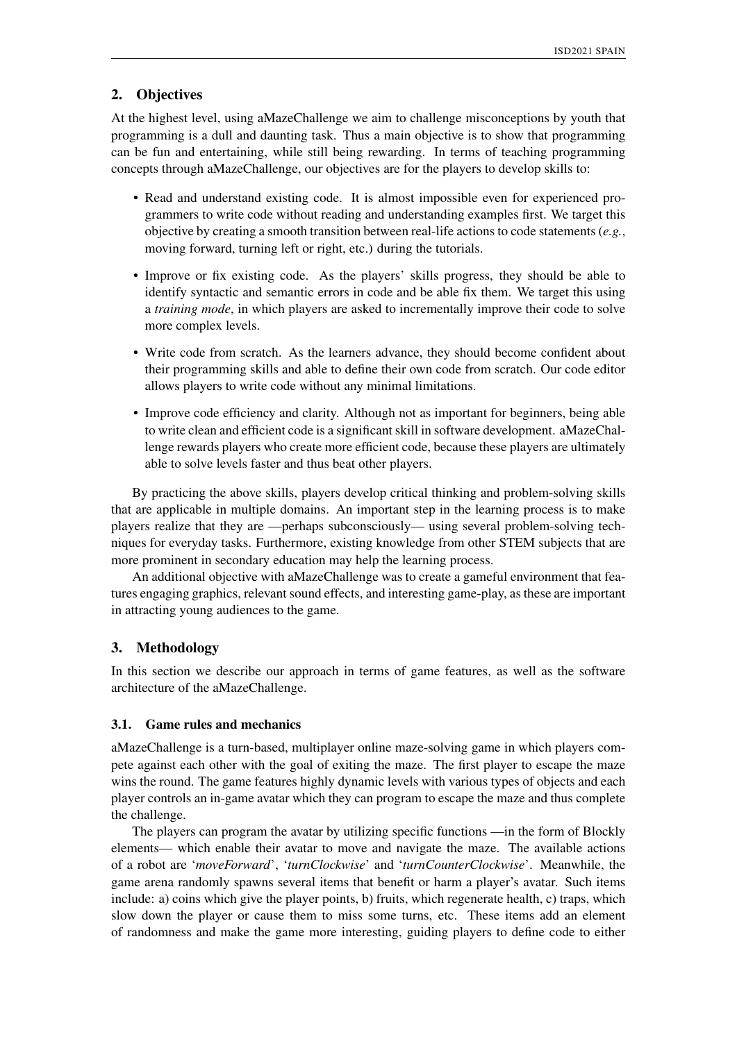# 2. Objectives

At the highest level, using aMazeChallenge we aim to challenge misconceptions by youth that programming is a dull and daunting task. Thus a main objective is to show that programming can be fun and entertaining, while still being rewarding. In terms of teaching programming concepts through aMazeChallenge, our objectives are for the players to develop skills to:

- Read and understand existing code. It is almost impossible even for experienced programmers to write code without reading and understanding examples first. We target this objective by creating a smooth transition between real-life actions to code statements (*e.g.*, moving forward, turning left or right, etc.) during the tutorials.
- Improve or fix existing code. As the players' skills progress, they should be able to identify syntactic and semantic errors in code and be able fix them. We target this using a *training mode*, in which players are asked to incrementally improve their code to solve more complex levels.
- Write code from scratch. As the learners advance, they should become confident about their programming skills and able to define their own code from scratch. Our code editor allows players to write code without any minimal limitations.
- Improve code efficiency and clarity. Although not as important for beginners, being able to write clean and efficient code is a significant skill in software development. aMazeChallenge rewards players who create more efficient code, because these players are ultimately able to solve levels faster and thus beat other players.

By practicing the above skills, players develop critical thinking and problem-solving skills that are applicable in multiple domains. An important step in the learning process is to make players realize that they are —perhaps subconsciously— using several problem-solving techniques for everyday tasks. Furthermore, existing knowledge from other STEM subjects that are more prominent in secondary education may help the learning process.

An additional objective with aMazeChallenge was to create a gameful environment that features engaging graphics, relevant sound effects, and interesting game-play, as these are important in attracting young audiences to the game.

### 3. Methodology

In this section we describe our approach in terms of game features, as well as the software architecture of the aMazeChallenge.

#### 3.1. Game rules and mechanics

aMazeChallenge is a turn-based, multiplayer online maze-solving game in which players compete against each other with the goal of exiting the maze. The first player to escape the maze wins the round. The game features highly dynamic levels with various types of objects and each player controls an in-game avatar which they can program to escape the maze and thus complete the challenge.

The players can program the avatar by utilizing specific functions —in the form of Blockly elements— which enable their avatar to move and navigate the maze. The available actions of a robot are '*moveForward*', '*turnClockwise*' and '*turnCounterClockwise*'. Meanwhile, the game arena randomly spawns several items that benefit or harm a player's avatar. Such items include: a) coins which give the player points, b) fruits, which regenerate health, c) traps, which slow down the player or cause them to miss some turns, etc. These items add an element of randomness and make the game more interesting, guiding players to define code to either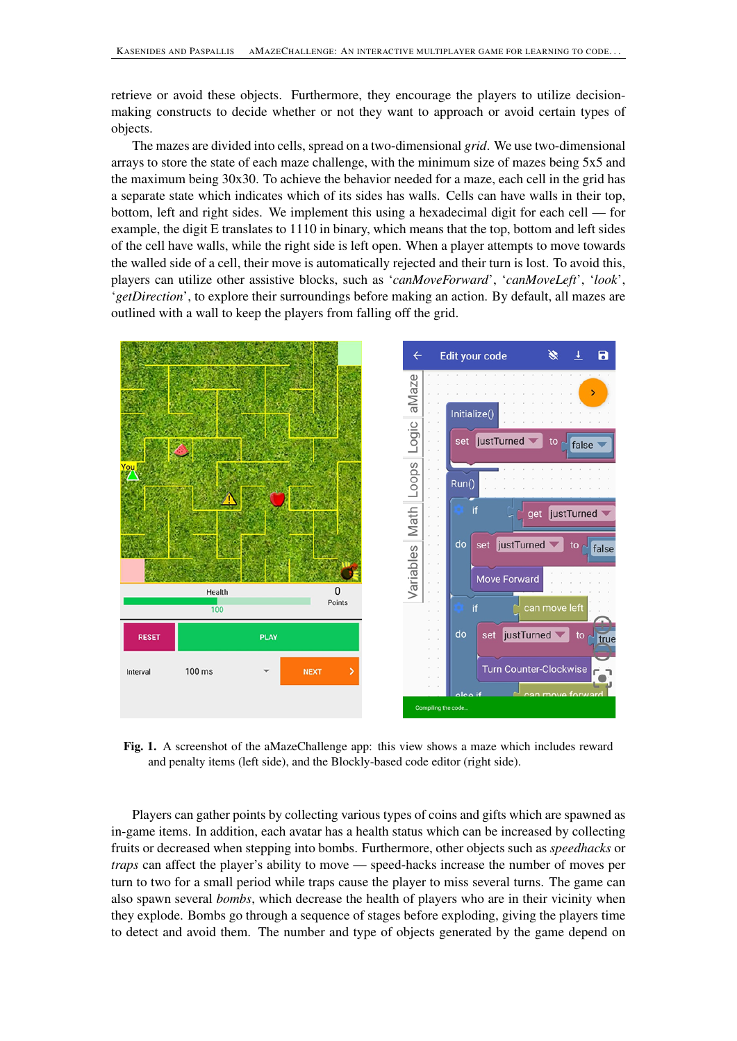retrieve or avoid these objects. Furthermore, they encourage the players to utilize decisionmaking constructs to decide whether or not they want to approach or avoid certain types of objects.

The mazes are divided into cells, spread on a two-dimensional *grid*. We use two-dimensional arrays to store the state of each maze challenge, with the minimum size of mazes being 5x5 and the maximum being 30x30. To achieve the behavior needed for a maze, each cell in the grid has a separate state which indicates which of its sides has walls. Cells can have walls in their top, bottom, left and right sides. We implement this using a hexadecimal digit for each cell — for example, the digit E translates to 1110 in binary, which means that the top, bottom and left sides of the cell have walls, while the right side is left open. When a player attempts to move towards the walled side of a cell, their move is automatically rejected and their turn is lost. To avoid this, players can utilize other assistive blocks, such as '*canMoveForward*', '*canMoveLeft*', '*look*', '*getDirection*', to explore their surroundings before making an action. By default, all mazes are outlined with a wall to keep the players from falling off the grid.



Fig. 1. A screenshot of the aMazeChallenge app: this view shows a maze which includes reward and penalty items (left side), and the Blockly-based code editor (right side).

Players can gather points by collecting various types of coins and gifts which are spawned as in-game items. In addition, each avatar has a health status which can be increased by collecting fruits or decreased when stepping into bombs. Furthermore, other objects such as *speedhacks* or *traps* can affect the player's ability to move — speed-hacks increase the number of moves per turn to two for a small period while traps cause the player to miss several turns. The game can also spawn several *bombs*, which decrease the health of players who are in their vicinity when they explode. Bombs go through a sequence of stages before exploding, giving the players time to detect and avoid them. The number and type of objects generated by the game depend on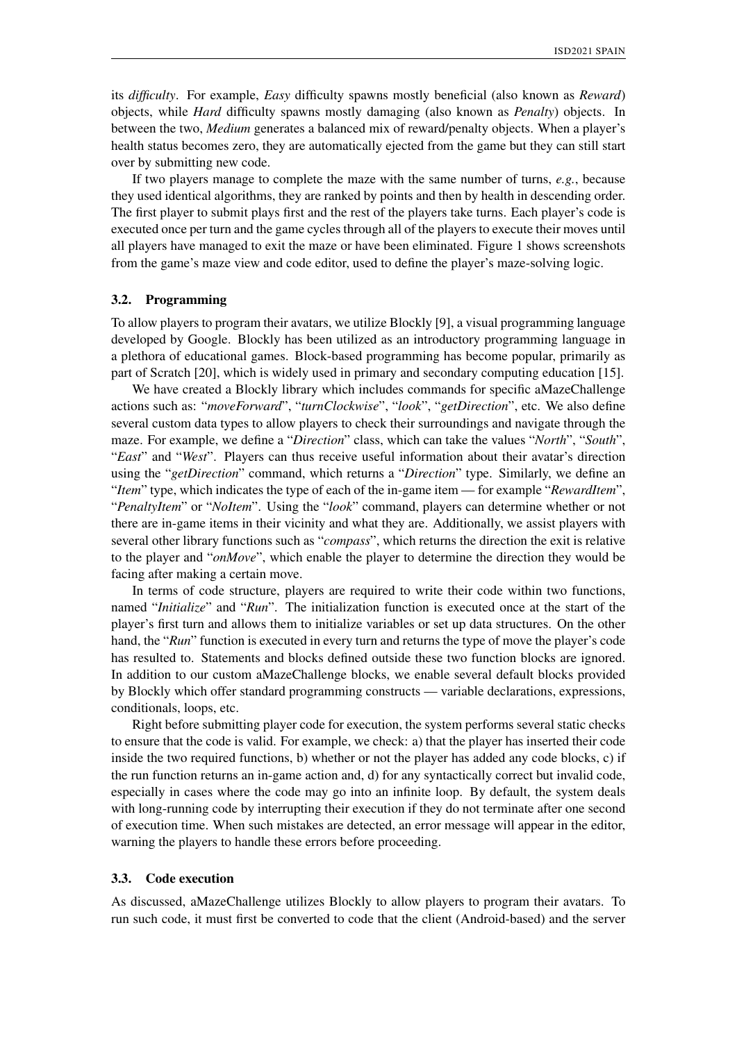its *difficulty*. For example, *Easy* difficulty spawns mostly beneficial (also known as *Reward*) objects, while *Hard* difficulty spawns mostly damaging (also known as *Penalty*) objects. In between the two, *Medium* generates a balanced mix of reward/penalty objects. When a player's health status becomes zero, they are automatically ejected from the game but they can still start over by submitting new code.

If two players manage to complete the maze with the same number of turns, *e.g.*, because they used identical algorithms, they are ranked by points and then by health in descending order. The first player to submit plays first and the rest of the players take turns. Each player's code is executed once per turn and the game cycles through all of the players to execute their moves until all players have managed to exit the maze or have been eliminated. Figure 1 shows screenshots from the game's maze view and code editor, used to define the player's maze-solving logic.

#### 3.2. Programming

To allow players to program their avatars, we utilize Blockly [9], a visual programming language developed by Google. Blockly has been utilized as an introductory programming language in a plethora of educational games. Block-based programming has become popular, primarily as part of Scratch [20], which is widely used in primary and secondary computing education [15].

We have created a Blockly library which includes commands for specific aMazeChallenge actions such as: "*moveForward*", "*turnClockwise*", "*look*", "*getDirection*", etc. We also define several custom data types to allow players to check their surroundings and navigate through the maze. For example, we define a "*Direction*" class, which can take the values "*North*", "*South*", "*East*" and "*West*". Players can thus receive useful information about their avatar's direction using the "*getDirection*" command, which returns a "*Direction*" type. Similarly, we define an "*Item*" type, which indicates the type of each of the in-game item — for example "*RewardItem*", "*PenaltyItem*" or "*NoItem*". Using the "*look*" command, players can determine whether or not there are in-game items in their vicinity and what they are. Additionally, we assist players with several other library functions such as "*compass*", which returns the direction the exit is relative to the player and "*onMove*", which enable the player to determine the direction they would be facing after making a certain move.

In terms of code structure, players are required to write their code within two functions, named "*Initialize*" and "*Run*". The initialization function is executed once at the start of the player's first turn and allows them to initialize variables or set up data structures. On the other hand, the "*Run*" function is executed in every turn and returns the type of move the player's code has resulted to. Statements and blocks defined outside these two function blocks are ignored. In addition to our custom aMazeChallenge blocks, we enable several default blocks provided by Blockly which offer standard programming constructs — variable declarations, expressions, conditionals, loops, etc.

Right before submitting player code for execution, the system performs several static checks to ensure that the code is valid. For example, we check: a) that the player has inserted their code inside the two required functions, b) whether or not the player has added any code blocks, c) if the run function returns an in-game action and, d) for any syntactically correct but invalid code, especially in cases where the code may go into an infinite loop. By default, the system deals with long-running code by interrupting their execution if they do not terminate after one second of execution time. When such mistakes are detected, an error message will appear in the editor, warning the players to handle these errors before proceeding.

#### 3.3. Code execution

As discussed, aMazeChallenge utilizes Blockly to allow players to program their avatars. To run such code, it must first be converted to code that the client (Android-based) and the server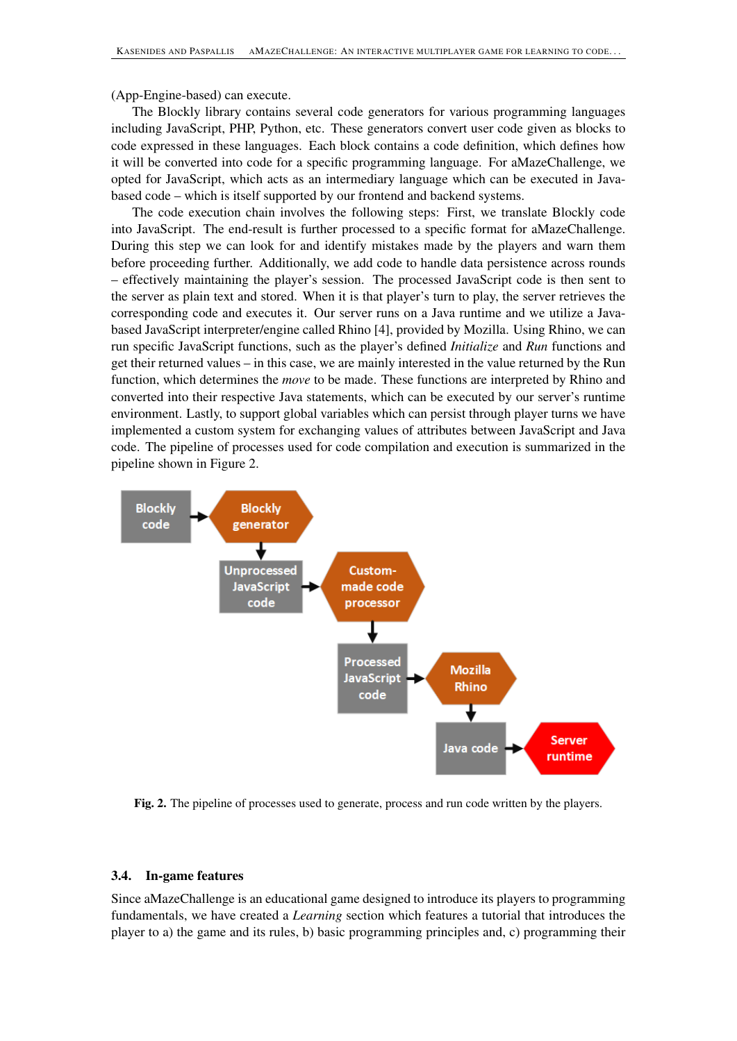(App-Engine-based) can execute.

The Blockly library contains several code generators for various programming languages including JavaScript, PHP, Python, etc. These generators convert user code given as blocks to code expressed in these languages. Each block contains a code definition, which defines how it will be converted into code for a specific programming language. For aMazeChallenge, we opted for JavaScript, which acts as an intermediary language which can be executed in Javabased code – which is itself supported by our frontend and backend systems.

The code execution chain involves the following steps: First, we translate Blockly code into JavaScript. The end-result is further processed to a specific format for aMazeChallenge. During this step we can look for and identify mistakes made by the players and warn them before proceeding further. Additionally, we add code to handle data persistence across rounds – effectively maintaining the player's session. The processed JavaScript code is then sent to the server as plain text and stored. When it is that player's turn to play, the server retrieves the corresponding code and executes it. Our server runs on a Java runtime and we utilize a Javabased JavaScript interpreter/engine called Rhino [4], provided by Mozilla. Using Rhino, we can run specific JavaScript functions, such as the player's defined *Initialize* and *Run* functions and get their returned values – in this case, we are mainly interested in the value returned by the Run function, which determines the *move* to be made. These functions are interpreted by Rhino and converted into their respective Java statements, which can be executed by our server's runtime environment. Lastly, to support global variables which can persist through player turns we have implemented a custom system for exchanging values of attributes between JavaScript and Java code. The pipeline of processes used for code compilation and execution is summarized in the pipeline shown in Figure 2.



Fig. 2. The pipeline of processes used to generate, process and run code written by the players.

## 3.4. In-game features

Since aMazeChallenge is an educational game designed to introduce its players to programming fundamentals, we have created a *Learning* section which features a tutorial that introduces the player to a) the game and its rules, b) basic programming principles and, c) programming their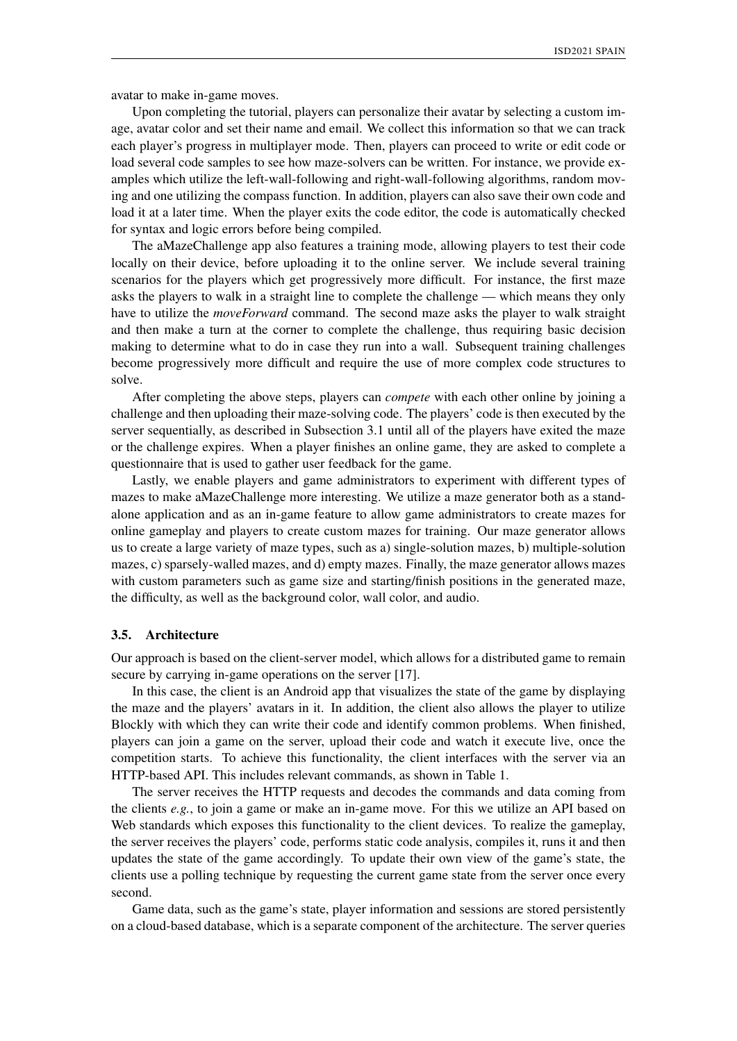avatar to make in-game moves.

Upon completing the tutorial, players can personalize their avatar by selecting a custom image, avatar color and set their name and email. We collect this information so that we can track each player's progress in multiplayer mode. Then, players can proceed to write or edit code or load several code samples to see how maze-solvers can be written. For instance, we provide examples which utilize the left-wall-following and right-wall-following algorithms, random moving and one utilizing the compass function. In addition, players can also save their own code and load it at a later time. When the player exits the code editor, the code is automatically checked for syntax and logic errors before being compiled.

The aMazeChallenge app also features a training mode, allowing players to test their code locally on their device, before uploading it to the online server. We include several training scenarios for the players which get progressively more difficult. For instance, the first maze asks the players to walk in a straight line to complete the challenge — which means they only have to utilize the *moveForward* command. The second maze asks the player to walk straight and then make a turn at the corner to complete the challenge, thus requiring basic decision making to determine what to do in case they run into a wall. Subsequent training challenges become progressively more difficult and require the use of more complex code structures to solve.

After completing the above steps, players can *compete* with each other online by joining a challenge and then uploading their maze-solving code. The players' code is then executed by the server sequentially, as described in Subsection 3.1 until all of the players have exited the maze or the challenge expires. When a player finishes an online game, they are asked to complete a questionnaire that is used to gather user feedback for the game.

Lastly, we enable players and game administrators to experiment with different types of mazes to make aMazeChallenge more interesting. We utilize a maze generator both as a standalone application and as an in-game feature to allow game administrators to create mazes for online gameplay and players to create custom mazes for training. Our maze generator allows us to create a large variety of maze types, such as a) single-solution mazes, b) multiple-solution mazes, c) sparsely-walled mazes, and d) empty mazes. Finally, the maze generator allows mazes with custom parameters such as game size and starting/finish positions in the generated maze, the difficulty, as well as the background color, wall color, and audio.

#### 3.5. Architecture

Our approach is based on the client-server model, which allows for a distributed game to remain secure by carrying in-game operations on the server [17].

In this case, the client is an Android app that visualizes the state of the game by displaying the maze and the players' avatars in it. In addition, the client also allows the player to utilize Blockly with which they can write their code and identify common problems. When finished, players can join a game on the server, upload their code and watch it execute live, once the competition starts. To achieve this functionality, the client interfaces with the server via an HTTP-based API. This includes relevant commands, as shown in Table 1.

The server receives the HTTP requests and decodes the commands and data coming from the clients *e.g.*, to join a game or make an in-game move. For this we utilize an API based on Web standards which exposes this functionality to the client devices. To realize the gameplay, the server receives the players' code, performs static code analysis, compiles it, runs it and then updates the state of the game accordingly. To update their own view of the game's state, the clients use a polling technique by requesting the current game state from the server once every second.

Game data, such as the game's state, player information and sessions are stored persistently on a cloud-based database, which is a separate component of the architecture. The server queries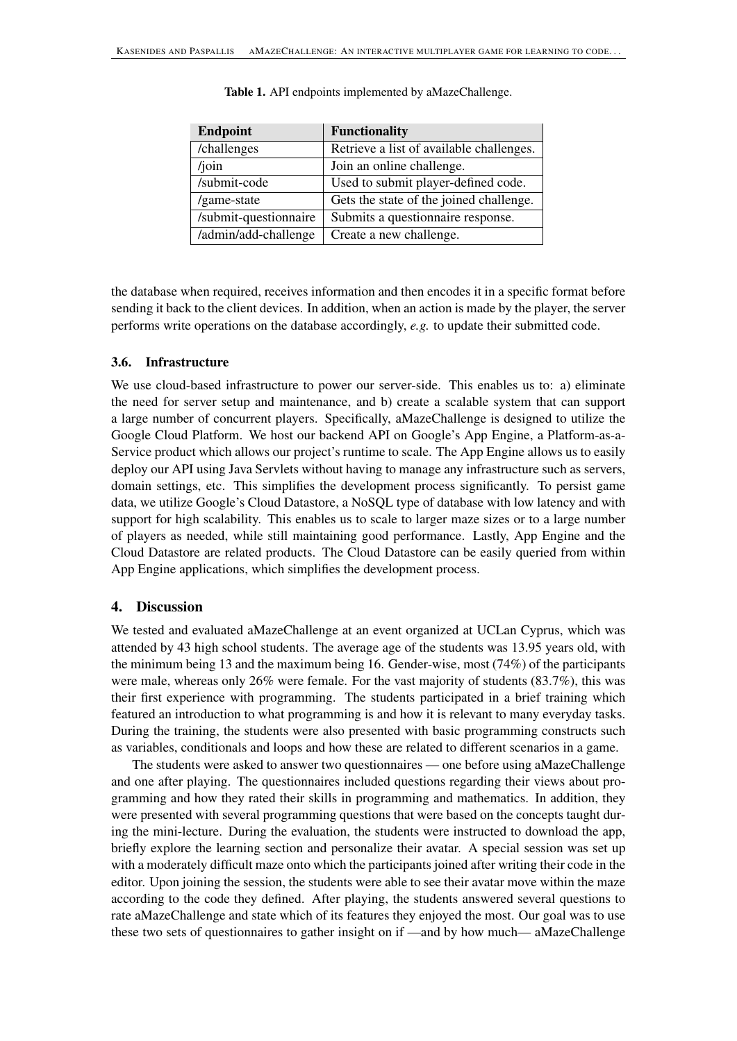| <b>Endpoint</b>       | <b>Functionality</b>                     |
|-----------------------|------------------------------------------|
| /challenges           | Retrieve a list of available challenges. |
| $/$ join              | Join an online challenge.                |
| /submit-code          | Used to submit player-defined code.      |
| /game-state           | Gets the state of the joined challenge.  |
| /submit-questionnaire | Submits a questionnaire response.        |
| /admin/add-challenge  | Create a new challenge.                  |

Table 1. API endpoints implemented by aMazeChallenge.

the database when required, receives information and then encodes it in a specific format before sending it back to the client devices. In addition, when an action is made by the player, the server performs write operations on the database accordingly, *e.g.* to update their submitted code.

#### 3.6. Infrastructure

We use cloud-based infrastructure to power our server-side. This enables us to: a) eliminate the need for server setup and maintenance, and b) create a scalable system that can support a large number of concurrent players. Specifically, aMazeChallenge is designed to utilize the Google Cloud Platform. We host our backend API on Google's App Engine, a Platform-as-a-Service product which allows our project's runtime to scale. The App Engine allows us to easily deploy our API using Java Servlets without having to manage any infrastructure such as servers, domain settings, etc. This simplifies the development process significantly. To persist game data, we utilize Google's Cloud Datastore, a NoSQL type of database with low latency and with support for high scalability. This enables us to scale to larger maze sizes or to a large number of players as needed, while still maintaining good performance. Lastly, App Engine and the Cloud Datastore are related products. The Cloud Datastore can be easily queried from within App Engine applications, which simplifies the development process.

### 4. Discussion

We tested and evaluated aMazeChallenge at an event organized at UCLan Cyprus, which was attended by 43 high school students. The average age of the students was 13.95 years old, with the minimum being 13 and the maximum being 16. Gender-wise, most (74%) of the participants were male, whereas only 26% were female. For the vast majority of students (83.7%), this was their first experience with programming. The students participated in a brief training which featured an introduction to what programming is and how it is relevant to many everyday tasks. During the training, the students were also presented with basic programming constructs such as variables, conditionals and loops and how these are related to different scenarios in a game.

The students were asked to answer two questionnaires — one before using aMazeChallenge and one after playing. The questionnaires included questions regarding their views about programming and how they rated their skills in programming and mathematics. In addition, they were presented with several programming questions that were based on the concepts taught during the mini-lecture. During the evaluation, the students were instructed to download the app, briefly explore the learning section and personalize their avatar. A special session was set up with a moderately difficult maze onto which the participants joined after writing their code in the editor. Upon joining the session, the students were able to see their avatar move within the maze according to the code they defined. After playing, the students answered several questions to rate aMazeChallenge and state which of its features they enjoyed the most. Our goal was to use these two sets of questionnaires to gather insight on if —and by how much— aMazeChallenge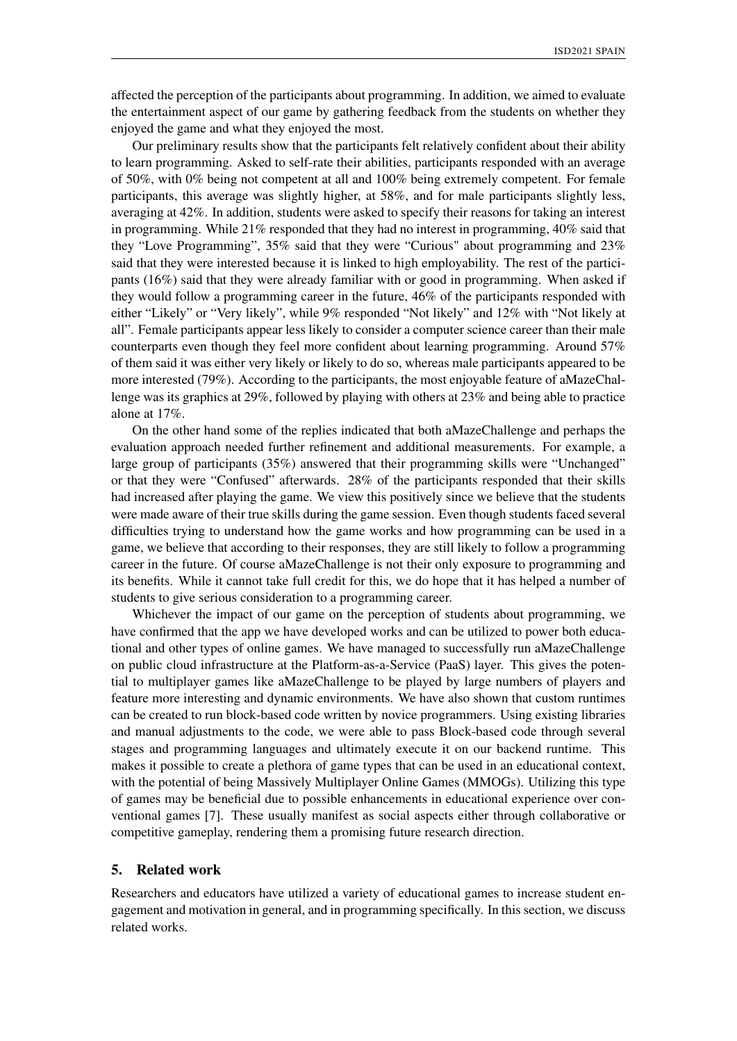affected the perception of the participants about programming. In addition, we aimed to evaluate the entertainment aspect of our game by gathering feedback from the students on whether they enjoyed the game and what they enjoyed the most.

Our preliminary results show that the participants felt relatively confident about their ability to learn programming. Asked to self-rate their abilities, participants responded with an average of 50%, with 0% being not competent at all and 100% being extremely competent. For female participants, this average was slightly higher, at 58%, and for male participants slightly less, averaging at 42%. In addition, students were asked to specify their reasons for taking an interest in programming. While 21% responded that they had no interest in programming, 40% said that they "Love Programming", 35% said that they were "Curious" about programming and 23% said that they were interested because it is linked to high employability. The rest of the participants (16%) said that they were already familiar with or good in programming. When asked if they would follow a programming career in the future, 46% of the participants responded with either "Likely" or "Very likely", while 9% responded "Not likely" and 12% with "Not likely at all". Female participants appear less likely to consider a computer science career than their male counterparts even though they feel more confident about learning programming. Around 57% of them said it was either very likely or likely to do so, whereas male participants appeared to be more interested (79%). According to the participants, the most enjoyable feature of aMazeChallenge was its graphics at 29%, followed by playing with others at 23% and being able to practice alone at 17%.

On the other hand some of the replies indicated that both aMazeChallenge and perhaps the evaluation approach needed further refinement and additional measurements. For example, a large group of participants (35%) answered that their programming skills were "Unchanged" or that they were "Confused" afterwards. 28% of the participants responded that their skills had increased after playing the game. We view this positively since we believe that the students were made aware of their true skills during the game session. Even though students faced several difficulties trying to understand how the game works and how programming can be used in a game, we believe that according to their responses, they are still likely to follow a programming career in the future. Of course aMazeChallenge is not their only exposure to programming and its benefits. While it cannot take full credit for this, we do hope that it has helped a number of students to give serious consideration to a programming career.

Whichever the impact of our game on the perception of students about programming, we have confirmed that the app we have developed works and can be utilized to power both educational and other types of online games. We have managed to successfully run aMazeChallenge on public cloud infrastructure at the Platform-as-a-Service (PaaS) layer. This gives the potential to multiplayer games like aMazeChallenge to be played by large numbers of players and feature more interesting and dynamic environments. We have also shown that custom runtimes can be created to run block-based code written by novice programmers. Using existing libraries and manual adjustments to the code, we were able to pass Block-based code through several stages and programming languages and ultimately execute it on our backend runtime. This makes it possible to create a plethora of game types that can be used in an educational context, with the potential of being Massively Multiplayer Online Games (MMOGs). Utilizing this type of games may be beneficial due to possible enhancements in educational experience over conventional games [7]. These usually manifest as social aspects either through collaborative or competitive gameplay, rendering them a promising future research direction.

## 5. Related work

Researchers and educators have utilized a variety of educational games to increase student engagement and motivation in general, and in programming specifically. In this section, we discuss related works.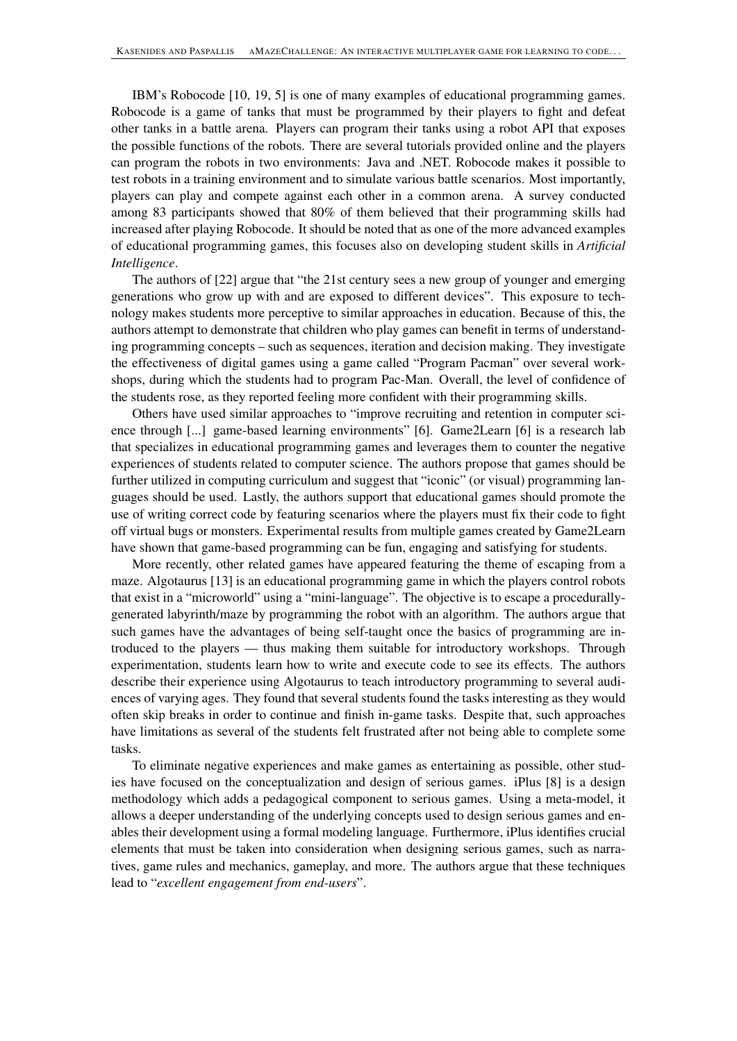IBM's Robocode [10, 19, 5] is one of many examples of educational programming games. Robocode is a game of tanks that must be programmed by their players to fight and defeat other tanks in a battle arena. Players can program their tanks using a robot API that exposes the possible functions of the robots. There are several tutorials provided online and the players can program the robots in two environments: Java and .NET. Robocode makes it possible to test robots in a training environment and to simulate various battle scenarios. Most importantly, players can play and compete against each other in a common arena. A survey conducted among 83 participants showed that 80% of them believed that their programming skills had increased after playing Robocode. It should be noted that as one of the more advanced examples of educational programming games, this focuses also on developing student skills in *Artificial Intelligence*.

The authors of [22] argue that "the 21st century sees a new group of younger and emerging generations who grow up with and are exposed to different devices". This exposure to technology makes students more perceptive to similar approaches in education. Because of this, the authors attempt to demonstrate that children who play games can benefit in terms of understanding programming concepts – such as sequences, iteration and decision making. They investigate the effectiveness of digital games using a game called "Program Pacman" over several workshops, during which the students had to program Pac-Man. Overall, the level of confidence of the students rose, as they reported feeling more confident with their programming skills.

Others have used similar approaches to "improve recruiting and retention in computer science through [...] game-based learning environments" [6]. Game2Learn [6] is a research lab that specializes in educational programming games and leverages them to counter the negative experiences of students related to computer science. The authors propose that games should be further utilized in computing curriculum and suggest that "iconic" (or visual) programming languages should be used. Lastly, the authors support that educational games should promote the use of writing correct code by featuring scenarios where the players must fix their code to fight off virtual bugs or monsters. Experimental results from multiple games created by Game2Learn have shown that game-based programming can be fun, engaging and satisfying for students.

More recently, other related games have appeared featuring the theme of escaping from a maze. Algotaurus [13] is an educational programming game in which the players control robots that exist in a "microworld" using a "mini-language". The objective is to escape a procedurallygenerated labyrinth/maze by programming the robot with an algorithm. The authors argue that such games have the advantages of being self-taught once the basics of programming are introduced to the players — thus making them suitable for introductory workshops. Through experimentation, students learn how to write and execute code to see its effects. The authors describe their experience using Algotaurus to teach introductory programming to several audiences of varying ages. They found that several students found the tasks interesting as they would often skip breaks in order to continue and finish in-game tasks. Despite that, such approaches have limitations as several of the students felt frustrated after not being able to complete some tasks.

To eliminate negative experiences and make games as entertaining as possible, other studies have focused on the conceptualization and design of serious games. iPlus [8] is a design methodology which adds a pedagogical component to serious games. Using a meta-model, it allows a deeper understanding of the underlying concepts used to design serious games and enables their development using a formal modeling language. Furthermore, iPlus identifies crucial elements that must be taken into consideration when designing serious games, such as narratives, game rules and mechanics, gameplay, and more. The authors argue that these techniques lead to "*excellent engagement from end-users*".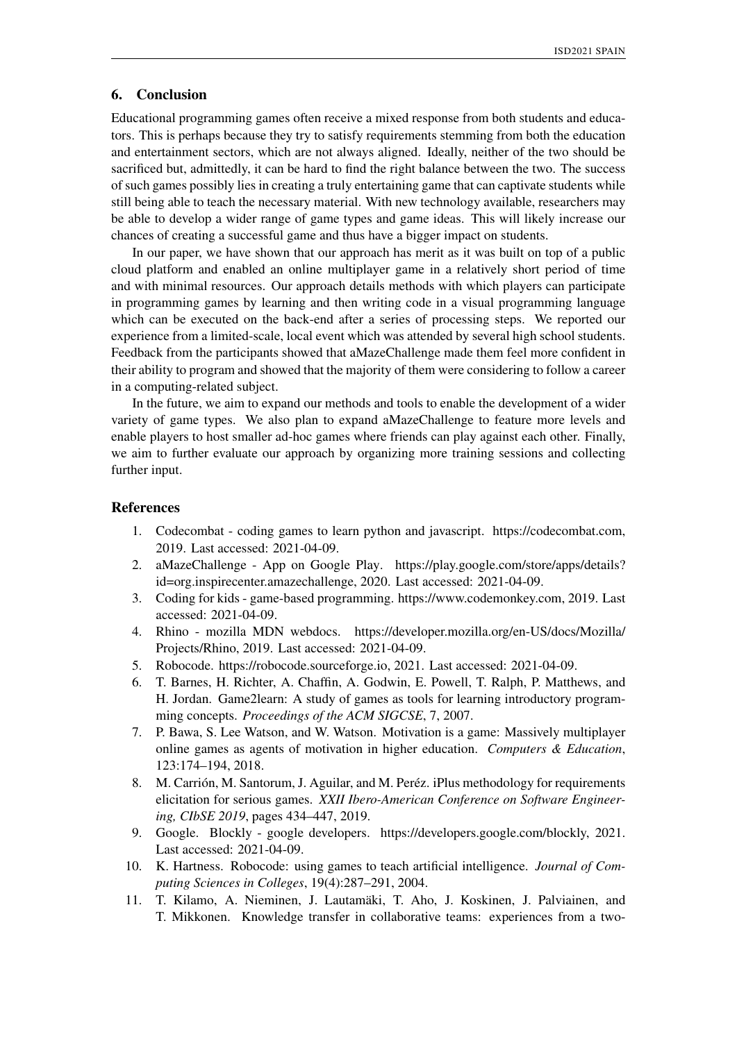# 6. Conclusion

Educational programming games often receive a mixed response from both students and educators. This is perhaps because they try to satisfy requirements stemming from both the education and entertainment sectors, which are not always aligned. Ideally, neither of the two should be sacrificed but, admittedly, it can be hard to find the right balance between the two. The success of such games possibly lies in creating a truly entertaining game that can captivate students while still being able to teach the necessary material. With new technology available, researchers may be able to develop a wider range of game types and game ideas. This will likely increase our chances of creating a successful game and thus have a bigger impact on students.

In our paper, we have shown that our approach has merit as it was built on top of a public cloud platform and enabled an online multiplayer game in a relatively short period of time and with minimal resources. Our approach details methods with which players can participate in programming games by learning and then writing code in a visual programming language which can be executed on the back-end after a series of processing steps. We reported our experience from a limited-scale, local event which was attended by several high school students. Feedback from the participants showed that aMazeChallenge made them feel more confident in their ability to program and showed that the majority of them were considering to follow a career in a computing-related subject.

In the future, we aim to expand our methods and tools to enable the development of a wider variety of game types. We also plan to expand aMazeChallenge to feature more levels and enable players to host smaller ad-hoc games where friends can play against each other. Finally, we aim to further evaluate our approach by organizing more training sessions and collecting further input.

# References

- 1. Codecombat coding games to learn python and javascript. https://codecombat.com, 2019. Last accessed: 2021-04-09.
- 2. aMazeChallenge App on Google Play. https://play.google.com/store/apps/details? id=org.inspirecenter.amazechallenge, 2020. Last accessed: 2021-04-09.
- 3. Coding for kids game-based programming. https://www.codemonkey.com, 2019. Last accessed: 2021-04-09.
- 4. Rhino mozilla MDN webdocs. https://developer.mozilla.org/en-US/docs/Mozilla/ Projects/Rhino, 2019. Last accessed: 2021-04-09.
- 5. Robocode. https://robocode.sourceforge.io, 2021. Last accessed: 2021-04-09.
- 6. T. Barnes, H. Richter, A. Chaffin, A. Godwin, E. Powell, T. Ralph, P. Matthews, and H. Jordan. Game2learn: A study of games as tools for learning introductory programming concepts. *Proceedings of the ACM SIGCSE*, 7, 2007.
- 7. P. Bawa, S. Lee Watson, and W. Watson. Motivation is a game: Massively multiplayer online games as agents of motivation in higher education. *Computers & Education*, 123:174–194, 2018.
- 8. M. Carrión, M. Santorum, J. Aguilar, and M. Peréz. iPlus methodology for requirements elicitation for serious games. *XXII Ibero-American Conference on Software Engineering, CIbSE 2019*, pages 434–447, 2019.
- 9. Google. Blockly google developers. https://developers.google.com/blockly, 2021. Last accessed: 2021-04-09.
- 10. K. Hartness. Robocode: using games to teach artificial intelligence. *Journal of Computing Sciences in Colleges*, 19(4):287–291, 2004.
- 11. T. Kilamo, A. Nieminen, J. Lautamäki, T. Aho, J. Koskinen, J. Palviainen, and T. Mikkonen. Knowledge transfer in collaborative teams: experiences from a two-